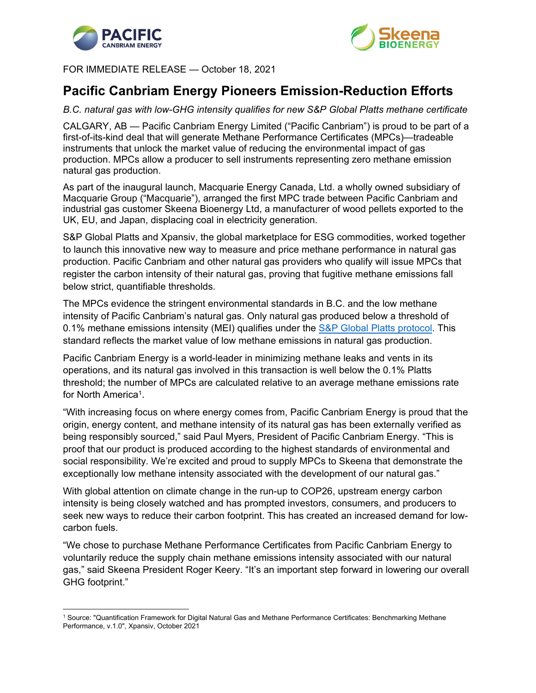



## FOR IMMEDIATE RELEASE — October 18, 2021

# **Pacific Canbriam Energy Pioneers Emission-Reduction Efforts**

*B.C. natural gas with low-GHG intensity qualifies for new S&P Global Platts methane certificate* 

CALGARY, AB — Pacific Canbriam Energy Limited ("Pacific Canbriam") is proud to be part of a first-of-its-kind deal that will generate Methane Performance Certificates (MPCs)—tradeable instruments that unlock the market value of reducing the environmental impact of gas production. MPCs allow a producer to sell instruments representing zero methane emission natural gas production.

As part of the inaugural launch, Macquarie Energy Canada, Ltd. a wholly owned subsidiary of Macquarie Group ("Macquarie"), arranged the first MPC trade between Pacific Canbriam and industrial gas customer Skeena Bioenergy Ltd, a manufacturer of wood pellets exported to the UK, EU, and Japan, displacing coal in electricity generation.

S&P Global Platts and Xpansiv, the global marketplace for ESG commodities, worked together to launch this innovative new way to measure and price methane performance in natural gas production. Pacific Canbriam and other natural gas providers who qualify will issue MPCs that register the carbon intensity of their natural gas, proving that fugitive methane emissions fall below strict, quantifiable thresholds.

The MPCs evidence the stringent environmental standards in B.C. and the low methane intensity of Pacific Canbriam's natural gas. Only natural gas produced below a threshold of 0.1% methane emissions intensity (MEI) qualifies under the S&P Global Platts protocol. This standard reflects the market value of low methane emissions in natural gas production.

Pacific Canbriam Energy is a world-leader in minimizing methane leaks and vents in its operations, and its natural gas involved in this transaction is well below the 0.1% Platts threshold; the number of MPCs are calculated relative to an average methane emissions rate for North America<sup>1</sup>.

"With increasing focus on where energy comes from, Pacific Canbriam Energy is proud that the origin, energy content, and methane intensity of its natural gas has been externally verified as being responsibly sourced," said Paul Myers, President of Pacific Canbriam Energy. "This is proof that our product is produced according to the highest standards of environmental and social responsibility. We're excited and proud to supply MPCs to Skeena that demonstrate the exceptionally low methane intensity associated with the development of our natural gas."

With global attention on climate change in the run-up to COP26, upstream energy carbon intensity is being closely watched and has prompted investors, consumers, and producers to seek new ways to reduce their carbon footprint. This has created an increased demand for lowcarbon fuels.

"We chose to purchase Methane Performance Certificates from Pacific Canbriam Energy to voluntarily reduce the supply chain methane emissions intensity associated with our natural gas," said Skeena President Roger Keery. "It's an important step forward in lowering our overall GHG footprint."

 1 Source: "Quantification Framework for Digital Natural Gas and Methane Performance Certificates: Benchmarking Methane Performance, v.1.0", Xpansiv, October 2021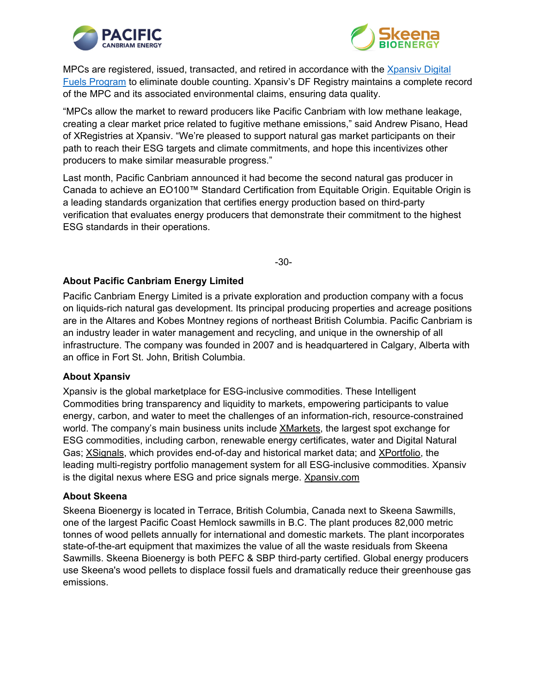



MPCs are registered, issued, transacted, and retired in accordance with the Xpansiv Digital Fuels Program to eliminate double counting. Xpansiv's DF Registry maintains a complete record of the MPC and its associated environmental claims, ensuring data quality.

"MPCs allow the market to reward producers like Pacific Canbriam with low methane leakage, creating a clear market price related to fugitive methane emissions," said Andrew Pisano, Head of XRegistries at Xpansiv. "We're pleased to support natural gas market participants on their path to reach their ESG targets and climate commitments, and hope this incentivizes other producers to make similar measurable progress."

Last month, Pacific Canbriam announced it had become the second natural gas producer in Canada to achieve an EO100™ Standard Certification from Equitable Origin. Equitable Origin is a leading standards organization that certifies energy production based on third-party verification that evaluates energy producers that demonstrate their commitment to the highest ESG standards in their operations.

-30-

## **About Pacific Canbriam Energy Limited**

Pacific Canbriam Energy Limited is a private exploration and production company with a focus on liquids-rich natural gas development. Its principal producing properties and acreage positions are in the Altares and Kobes Montney regions of northeast British Columbia. Pacific Canbriam is an industry leader in water management and recycling, and unique in the ownership of all infrastructure. The company was founded in 2007 and is headquartered in Calgary, Alberta with an office in Fort St. John, British Columbia.

#### **About Xpansiv**

Xpansiv is the global marketplace for ESG-inclusive commodities. These Intelligent Commodities bring transparency and liquidity to markets, empowering participants to value energy, carbon, and water to meet the challenges of an information-rich, resource-constrained world. The company's main business units include XMarkets, the largest spot exchange for ESG commodities, including carbon, renewable energy certificates, water and Digital Natural Gas; XSignals, which provides end-of-day and historical market data; and XPortfolio, the leading multi-registry portfolio management system for all ESG-inclusive commodities. Xpansiv is the digital nexus where ESG and price signals merge. Xpansiv.com

#### **About Skeena**

Skeena Bioenergy is located in Terrace, British Columbia, Canada next to Skeena Sawmills, one of the largest Pacific Coast Hemlock sawmills in B.C. The plant produces 82,000 metric tonnes of wood pellets annually for international and domestic markets. The plant incorporates state-of-the-art equipment that maximizes the value of all the waste residuals from Skeena Sawmills. Skeena Bioenergy is both PEFC & SBP third-party certified. Global energy producers use Skeena's wood pellets to displace fossil fuels and dramatically reduce their greenhouse gas emissions.